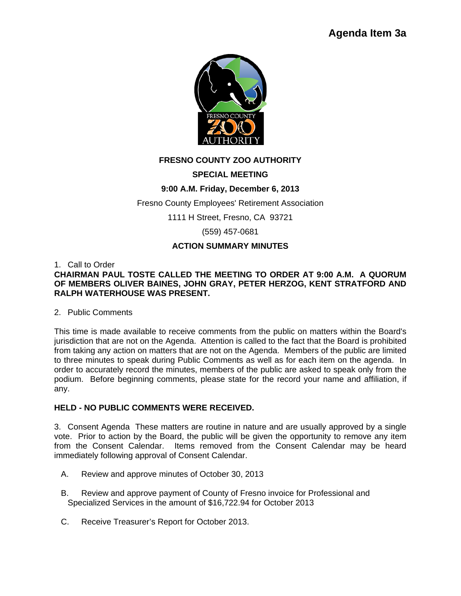

# **FRESNO COUNTY ZOO AUTHORITY**

# **SPECIAL MEETING**

# **9:00 A.M. Friday, December 6, 2013**

Fresno County Employees' Retirement Association

1111 H Street, Fresno, CA 93721

(559) 457-0681

## **ACTION SUMMARY MINUTES**

## 1. Call to Order

## **CHAIRMAN PAUL TOSTE CALLED THE MEETING TO ORDER AT 9:00 A.M. A QUORUM OF MEMBERS OLIVER BAINES, JOHN GRAY, PETER HERZOG, KENT STRATFORD AND RALPH WATERHOUSE WAS PRESENT.**

## 2. Public Comments

This time is made available to receive comments from the public on matters within the Board's jurisdiction that are not on the Agenda. Attention is called to the fact that the Board is prohibited from taking any action on matters that are not on the Agenda. Members of the public are limited to three minutes to speak during Public Comments as well as for each item on the agenda. In order to accurately record the minutes, members of the public are asked to speak only from the podium. Before beginning comments, please state for the record your name and affiliation, if any.

## **HELD - NO PUBLIC COMMENTS WERE RECEIVED.**

3. Consent Agenda These matters are routine in nature and are usually approved by a single vote. Prior to action by the Board, the public will be given the opportunity to remove any item from the Consent Calendar. Items removed from the Consent Calendar may be heard immediately following approval of Consent Calendar.

- A. Review and approve minutes of October 30, 2013
- B. Review and approve payment of County of Fresno invoice for Professional and Specialized Services in the amount of \$16,722.94 for October 2013
- C. Receive Treasurer's Report for October 2013.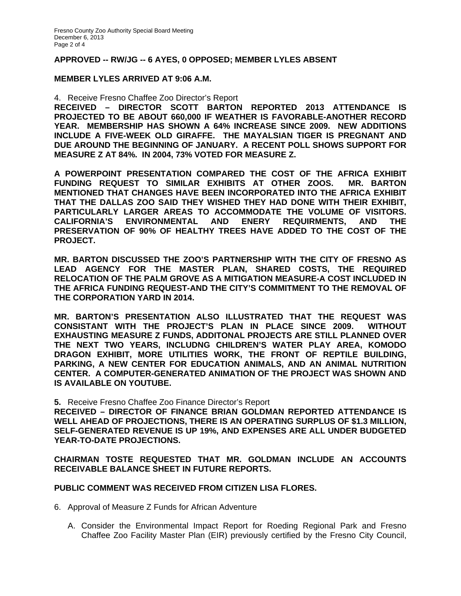#### **APPROVED -- RW/JG -- 6 AYES, 0 OPPOSED; MEMBER LYLES ABSENT**

#### **MEMBER LYLES ARRIVED AT 9:06 A.M.**

4. Receive Fresno Chaffee Zoo Director's Report

**RECEIVED – DIRECTOR SCOTT BARTON REPORTED 2013 ATTENDANCE IS PROJECTED TO BE ABOUT 660,000 IF WEATHER IS FAVORABLE-ANOTHER RECORD YEAR. MEMBERSHIP HAS SHOWN A 64% INCREASE SINCE 2009. NEW ADDITIONS INCLUDE A FIVE-WEEK OLD GIRAFFE. THE MAYALSIAN TIGER IS PREGNANT AND DUE AROUND THE BEGINNING OF JANUARY. A RECENT POLL SHOWS SUPPORT FOR MEASURE Z AT 84%. IN 2004, 73% VOTED FOR MEASURE Z.** 

**A POWERPOINT PRESENTATION COMPARED THE COST OF THE AFRICA EXHIBIT FUNDING REQUEST TO SIMILAR EXHIBITS AT OTHER ZOOS. MR. BARTON MENTIONED THAT CHANGES HAVE BEEN INCORPORATED INTO THE AFRICA EXHIBIT THAT THE DALLAS ZOO SAID THEY WISHED THEY HAD DONE WITH THEIR EXHIBIT, PARTICULARLY LARGER AREAS TO ACCOMMODATE THE VOLUME OF VISITORS. CALIFORNIA'S ENVIRONMENTAL AND ENERY REQUIRMENTS, AND THE PRESERVATION OF 90% OF HEALTHY TREES HAVE ADDED TO THE COST OF THE PROJECT.** 

**MR. BARTON DISCUSSED THE ZOO'S PARTNERSHIP WITH THE CITY OF FRESNO AS LEAD AGENCY FOR THE MASTER PLAN, SHARED COSTS, THE REQUIRED RELOCATION OF THE PALM GROVE AS A MITIGATION MEASURE-A COST INCLUDED IN THE AFRICA FUNDING REQUEST-AND THE CITY'S COMMITMENT TO THE REMOVAL OF THE CORPORATION YARD IN 2014.** 

**MR. BARTON'S PRESENTATION ALSO ILLUSTRATED THAT THE REQUEST WAS CONSISTANT WITH THE PROJECT'S PLAN IN PLACE SINCE 2009. WITHOUT EXHAUSTING MEASURE Z FUNDS, ADDITONAL PROJECTS ARE STILL PLANNED OVER THE NEXT TWO YEARS, INCLUDNG CHILDREN'S WATER PLAY AREA, KOMODO DRAGON EXHIBIT, MORE UTILITIES WORK, THE FRONT OF REPTILE BUILDING, PARKING, A NEW CENTER FOR EDUCATION ANIMALS, AND AN ANIMAL NUTRITION CENTER. A COMPUTER-GENERATED ANIMATION OF THE PROJECT WAS SHOWN AND IS AVAILABLE ON YOUTUBE.** 

**5.** Receive Fresno Chaffee Zoo Finance Director's Report

**RECEIVED – DIRECTOR OF FINANCE BRIAN GOLDMAN REPORTED ATTENDANCE IS WELL AHEAD OF PROJECTIONS, THERE IS AN OPERATING SURPLUS OF \$1.3 MILLION, SELF-GENERATED REVENUE IS UP 19%, AND EXPENSES ARE ALL UNDER BUDGETED YEAR-TO-DATE PROJECTIONS.** 

**CHAIRMAN TOSTE REQUESTED THAT MR. GOLDMAN INCLUDE AN ACCOUNTS RECEIVABLE BALANCE SHEET IN FUTURE REPORTS.** 

#### **PUBLIC COMMENT WAS RECEIVED FROM CITIZEN LISA FLORES.**

6. Approval of Measure Z Funds for African Adventure

A. Consider the Environmental Impact Report for Roeding Regional Park and Fresno Chaffee Zoo Facility Master Plan (EIR) previously certified by the Fresno City Council,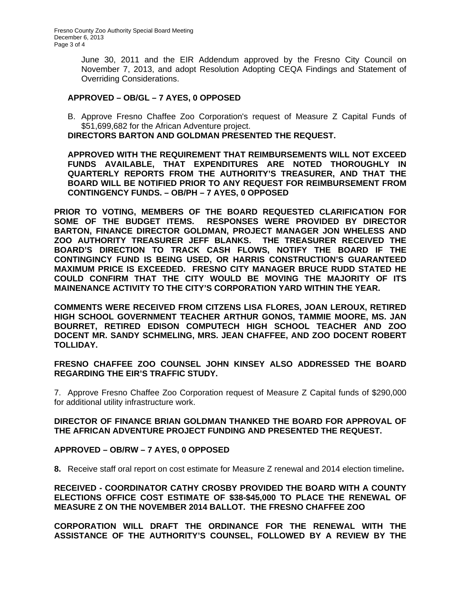June 30, 2011 and the EIR Addendum approved by the Fresno City Council on November 7, 2013, and adopt Resolution Adopting CEQA Findings and Statement of Overriding Considerations.

## **APPROVED – OB/GL – 7 AYES, 0 OPPOSED**

B. Approve Fresno Chaffee Zoo Corporation's request of Measure Z Capital Funds of \$51,699,682 for the African Adventure project.

**DIRECTORS BARTON AND GOLDMAN PRESENTED THE REQUEST.** 

**APPROVED WITH THE REQUIREMENT THAT REIMBURSEMENTS WILL NOT EXCEED FUNDS AVAILABLE, THAT EXPENDITURES ARE NOTED THOROUGHLY IN QUARTERLY REPORTS FROM THE AUTHORITY'S TREASURER, AND THAT THE BOARD WILL BE NOTIFIED PRIOR TO ANY REQUEST FOR REIMBURSEMENT FROM CONTINGENCY FUNDS. – OB/PH – 7 AYES, 0 OPPOSED** 

**PRIOR TO VOTING, MEMBERS OF THE BOARD REQUESTED CLARIFICATION FOR SOME OF THE BUDGET ITEMS. RESPONSES WERE PROVIDED BY DIRECTOR BARTON, FINANCE DIRECTOR GOLDMAN, PROJECT MANAGER JON WHELESS AND ZOO AUTHORITY TREASURER JEFF BLANKS. THE TREASURER RECEIVED THE BOARD'S DIRECTION TO TRACK CASH FLOWS, NOTIFY THE BOARD IF THE CONTINGINCY FUND IS BEING USED, OR HARRIS CONSTRUCTION'S GUARANTEED MAXIMUM PRICE IS EXCEEDED. FRESNO CITY MANAGER BRUCE RUDD STATED HE COULD CONFIRM THAT THE CITY WOULD BE MOVING THE MAJORITY OF ITS MAINENANCE ACTIVITY TO THE CITY'S CORPORATION YARD WITHIN THE YEAR.** 

**COMMENTS WERE RECEIVED FROM CITZENS LISA FLORES, JOAN LEROUX, RETIRED HIGH SCHOOL GOVERNMENT TEACHER ARTHUR GONOS, TAMMIE MOORE, MS. JAN BOURRET, RETIRED EDISON COMPUTECH HIGH SCHOOL TEACHER AND ZOO DOCENT MR. SANDY SCHMELING, MRS. JEAN CHAFFEE, AND ZOO DOCENT ROBERT TOLLIDAY.** 

**FRESNO CHAFFEE ZOO COUNSEL JOHN KINSEY ALSO ADDRESSED THE BOARD REGARDING THE EIR'S TRAFFIC STUDY.** 

7. Approve Fresno Chaffee Zoo Corporation request of Measure Z Capital funds of \$290,000 for additional utility infrastructure work.

#### **DIRECTOR OF FINANCE BRIAN GOLDMAN THANKED THE BOARD FOR APPROVAL OF THE AFRICAN ADVENTURE PROJECT FUNDING AND PRESENTED THE REQUEST.**

## **APPROVED – OB/RW – 7 AYES, 0 OPPOSED**

**8.** Receive staff oral report on cost estimate for Measure Z renewal and 2014 election timeline**.** 

**RECEIVED - COORDINATOR CATHY CROSBY PROVIDED THE BOARD WITH A COUNTY ELECTIONS OFFICE COST ESTIMATE OF \$38-\$45,000 TO PLACE THE RENEWAL OF MEASURE Z ON THE NOVEMBER 2014 BALLOT. THE FRESNO CHAFFEE ZOO** 

**CORPORATION WILL DRAFT THE ORDINANCE FOR THE RENEWAL WITH THE ASSISTANCE OF THE AUTHORITY'S COUNSEL, FOLLOWED BY A REVIEW BY THE**